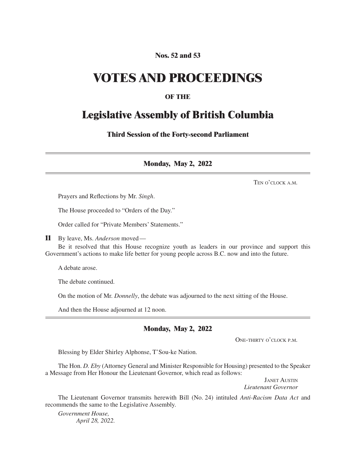### **Nos. 52 and 53**

## **VOTES AND PROCEEDINGS**

## **OF THE**

## **Legislative Assembly of British Columbia**

**Third Session of the Forty-second Parliament**

**Monday, May 2, 2022**

Ten o'clock a.m.

Prayers and Reflections by Mr. *Singh*.

The House proceeded to "Orders of the Day."

Order called for "Private Members' Statements."

**11** By leave, Ms. *Anderson* moved—

Be it resolved that this House recognize youth as leaders in our province and support this Government's actions to make life better for young people across B.C. now and into the future.

A debate arose.

The debate continued.

On the motion of Mr. *Donnelly*, the debate was adjourned to the next sitting of the House.

And then the House adjourned at 12 noon.

#### **Monday, May 2, 2022**

One-thirty o'clock p.m.

Blessing by Elder Shirley Alphonse, T'Sou-ke Nation.

The Hon. *D. Eby* (Attorney General and Minister Responsible for Housing) presented to the Speaker a Message from Her Honour the Lieutenant Governor, which read as follows:

> Janet Austin *Lieutenant Governor*

The Lieutenant Governor transmits herewith Bill (No. 24) intituled *Anti-Racism Data Act* and recommends the same to the Legislative Assembly.

*Government House, April 28, 2022.*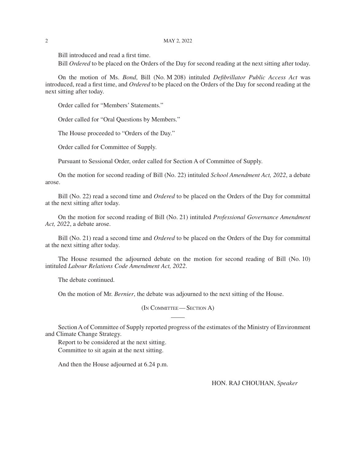Bill introduced and read a first time.

Bill *Ordered* to be placed on the Orders of the Day for second reading at the next sitting after today.

On the motion of Ms. *Bond*, Bill (No. M 208) intituled *Defibrillator Public Access Act* was introduced, read a first time, and *Ordered* to be placed on the Orders of the Day for second reading at the next sitting after today.

Order called for "Members' Statements."

Order called for "Oral Questions by Members."

The House proceeded to "Orders of the Day."

Order called for Committee of Supply.

Pursuant to Sessional Order, order called for Section A of Committee of Supply.

On the motion for second reading of Bill (No. 22) intituled *School Amendment Act, 2022*, a debate arose.

Bill (No. 22) read a second time and *Ordered* to be placed on the Orders of the Day for committal at the next sitting after today.

On the motion for second reading of Bill (No. 21) intituled *Professional Governance Amendment Act, 2022*, a debate arose.

Bill (No. 21) read a second time and *Ordered* to be placed on the Orders of the Day for committal at the next sitting after today.

The House resumed the adjourned debate on the motion for second reading of Bill (No. 10) intituled *Labour Relations Code Amendment Act, 2022*.

The debate continued.

On the motion of Mr. *Bernier*, the debate was adjourned to the next sitting of the House.

(In Committee— Section A)

Section A of Committee of Supply reported progress of the estimates of the Ministry of Environment and Climate Change Strategy.

Report to be considered at the next sitting. Committee to sit again at the next sitting.

And then the House adjourned at 6.24 p.m.

HON. RAJ CHOUHAN, *Speaker*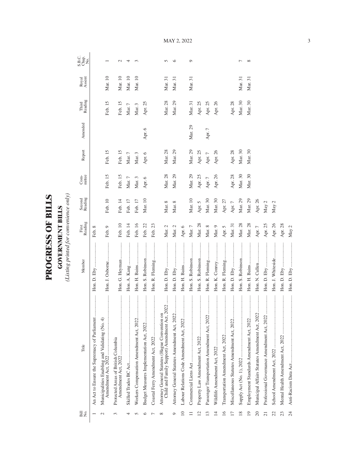| $\mathbf \zeta$<br>ŗ<br>I |  |
|---------------------------|--|
| ١<br>ĺ                    |  |
| J<br>F                    |  |
|                           |  |

**GOVERNMENT BILLS**<br>(Listing printed for convenience only) *(Listing printed for convenience only)*

**GOVERNMENT BILLS**

| Bill<br>No.     | Title                                                                                           | Member            | First<br>Reading | Second<br>Reading | $Com-$     | Report     | Amended | Third<br>Reading | Royal<br>Assent | S.B.C.<br>Chap.<br>No. |
|-----------------|-------------------------------------------------------------------------------------------------|-------------------|------------------|-------------------|------------|------------|---------|------------------|-----------------|------------------------|
|                 | <br>An Act to Ensure the Supremacy of Parliament                                                |                   | Feb. 8           |                   |            |            |         |                  |                 |                        |
| $\sim$          | <br>Municipalities Enabling and Validating (No. 4)                                              | Hon. J. Osborne   | Feb. 9           | Feb. 10           | Feb. 15    | Feb. 15    |         | Feb. 15          | Mar. 10         |                        |
| 3               | Protected Areas of British Columbia                                                             | Hon. G. Heyman    | Feb. 10          | Feb. 14           | Feb. 15    | Feb. 15    |         | Feb. 15          | Mar. 10         | $\mathcal{L}$          |
| 4               |                                                                                                 |                   | Feb. 14          | Feb. 17           | Mar. $7\,$ | Mar. $7\,$ |         | Mar. $7$         | Mar. 10         | 4                      |
|                 |                                                                                                 | Hon. H. Bains     | Feb. 16          | Feb. 17           | Mar. 3     | Mar. 3     |         | Mar. 3           | Mar. 10         | 3                      |
| ≌               | <br>Budget Measures Implementation Act, 2022                                                    | Hon. S. Robinson  | Feb. 22          | Mar. 10           | Apr. 6     | Apr. 6     | Apr. 6  | Apr. 25          |                 |                        |
|                 |                                                                                                 | Hon. R. Fleming   | Feb. 23          |                   |            |            |         |                  |                 |                        |
| $\infty$        | Child and Family Support) Amendment Act, 2022<br>Attorney General Statutes (Hague Convention on |                   | Mar. 2           | Mar. 8            | Mar. 28    | Mar. 28    |         | Mar. 28          | Mar. 31         | $\sqrt{2}$             |
| O               | Attorney General Statutes Amendment Act, 2022                                                   |                   | Mar. 2           | Mar. 8            | Mar. 29    | Mar. 29    |         | Mar. 29          | Mar. 31         | $\circ$                |
| $\approx$       | <br>Labour Relations Code Amendment Act, 2022                                                   |                   | Apr. 6           |                   |            |            |         |                  |                 |                        |
|                 |                                                                                                 | Hon. S. Robinson  | Mar. $7$         | Mar. 10           | Mar. 29    | Mar. 29    | Mar. 29 | Mar. 31          | Mar. 31         | $\circ$                |
| $\overline{c}$  |                                                                                                 | Hon. S. Robinson  | Mar. 28          | Apr. 5            | Apr. 25    | Apr. 25    |         | Apr. 25          |                 |                        |
| $\frac{3}{2}$   |                                                                                                 | Hon. R. Fleming   | Mar. 8           | Mar. 30           | Apr. $7$   | Apr. $7$   | Apr. 7  | Apr. 25          |                 |                        |
| $\overline{1}$  | Wildlife Amendment Act, 2022                                                                    | Hon. K. Conroy    | Mar. 9           | Mar. 30           | Apr. 26    | Apr. 26    |         | Apr. 26          |                 |                        |
| 16              |                                                                                                 | Hon. R. Fleming   | Apr. 5           | Apr. 27           |            |            |         |                  |                 |                        |
| $\overline{17}$ | <br>Miscellaneous Statutes Amendment Act, 2022                                                  | Hon. D. Eby       | Mar. 31          | Apr. $7$          | Apr. 28    | Apr. 28    |         | Apr. 28          |                 |                        |
| 18              |                                                                                                 | Hon. S. Robinson  | Mar. 28          | Mar. 29           | Mar. 30    | Mar. 30    |         | Mar. 30          | Mar. 31         |                        |
| $\overline{1}$  | <br>Employment Standards Amendment Act, 2022                                                    |                   | Mar. 28          | Mar. 29           | Mar. 30    | Mar. 30    |         | Mar. 30          | Mar. 31         | $\infty$               |
| 20              | Municipal Affairs Statutes Amendment Act, 2022                                                  | Hon. N. Cullen    | Apr. $7\,$       | Apr. 26           |            |            |         |                  |                 |                        |
| $\overline{c}$  |                                                                                                 |                   | Apr. $25\,$      | May 2             |            |            |         |                  |                 |                        |
| 22              | School Amendment Act, 2022                                                                      | Hon. J. Whiteside | Apr. 26          | May 2             |            |            |         |                  |                 |                        |
| 23              |                                                                                                 |                   | Apr. 28          |                   |            |            |         |                  |                 |                        |
| $\overline{24}$ |                                                                                                 |                   | May 2            |                   |            |            |         |                  |                 |                        |

MAY 2, 2022

3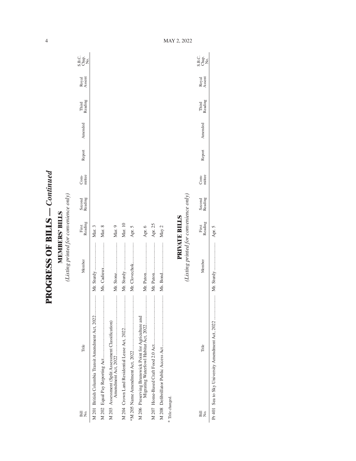**PROGRESS OF BILLS - Continued PROGRESS OF BILLS** *— Continued*

**MEMBERS' BILLS**<br>(Listing printed for convenience only) *(Listing printed for convenience only)* **MEMBERS' BILLS**

| Bill<br>Σó,      | Title                                              | Member                                 | First<br>Reading | Second<br>Reading | mittee<br>Com- | Report | Amended | Third<br>Reading | Royal<br>Assent | C<br>Sag<br>Sag   |
|------------------|----------------------------------------------------|----------------------------------------|------------------|-------------------|----------------|--------|---------|------------------|-----------------|-------------------|
|                  | M 201 British Columbia Transit Amendment Act, 2022 | Mr. Sturdy                             | Mar. 3           |                   |                |        |         |                  |                 |                   |
|                  |                                                    | Ms. Cadieux                            | Mar. 8           |                   |                |        |         |                  |                 |                   |
|                  | M 203 Assessment (Split Assessment Classification) |                                        | Mar. 9           |                   |                |        |         |                  |                 |                   |
|                  |                                                    | Mr. Sturdy                             | Mar. 10          |                   |                |        |         |                  |                 |                   |
|                  |                                                    |                                        | Apr. 5           |                   |                |        |         |                  |                 |                   |
|                  |                                                    |                                        | Apr. 6           |                   |                |        |         |                  |                 |                   |
|                  |                                                    |                                        | Apr. 25          |                   |                |        |         |                  |                 |                   |
|                  |                                                    |                                        | May 2            |                   |                |        |         |                  |                 |                   |
| * Title changed. |                                                    |                                        |                  |                   |                |        |         |                  |                 |                   |
|                  |                                                    |                                        | PRIVATE BILLS    |                   |                |        |         |                  |                 |                   |
|                  |                                                    | (Listing printed for convenience only) |                  |                   |                |        |         |                  |                 |                   |
| Bill<br>Σó       | Title                                              | Member                                 | Reading<br>First | Second<br>Reading | Com-<br>mittee | Report | Amended | Third<br>Reading | Royal<br>Assent | C<br>Sago<br>Sago |

Apr. 5 Pr 401 Sea to Sky University Amendment Act, 2022 ..................... Mr. Sturdy ........................ Apr. 5